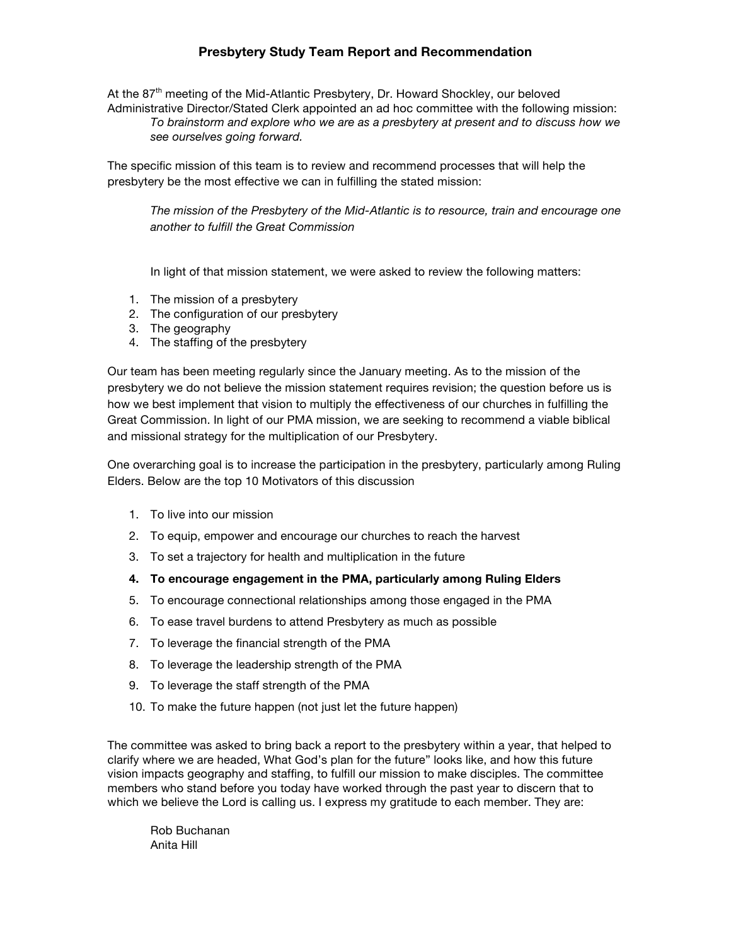## **Presbytery Study Team Report and Recommendation**

At the 87<sup>th</sup> meeting of the Mid-Atlantic Presbytery, Dr. Howard Shockley, our beloved Administrative Director/Stated Clerk appointed an ad hoc committee with the following mission: *To brainstorm and explore who we are as a presbytery at present and to discuss how we see ourselves going forward.*

The specific mission of this team is to review and recommend processes that will help the presbytery be the most effective we can in fulfilling the stated mission:

*The mission of the Presbytery of the Mid-Atlantic is to resource, train and encourage one another to fulfill the Great Commission*

In light of that mission statement, we were asked to review the following matters:

- 1. The mission of a presbytery
- 2. The configuration of our presbytery
- 3. The geography
- 4. The staffing of the presbytery

Our team has been meeting regularly since the January meeting. As to the mission of the presbytery we do not believe the mission statement requires revision; the question before us is how we best implement that vision to multiply the effectiveness of our churches in fulfilling the Great Commission. In light of our PMA mission, we are seeking to recommend a viable biblical and missional strategy for the multiplication of our Presbytery.

One overarching goal is to increase the participation in the presbytery, particularly among Ruling Elders. Below are the top 10 Motivators of this discussion

- 1. To live into our mission
- 2. To equip, empower and encourage our churches to reach the harvest
- 3. To set a trajectory for health and multiplication in the future
- **4. To encourage engagement in the PMA, particularly among Ruling Elders**
- 5. To encourage connectional relationships among those engaged in the PMA
- 6. To ease travel burdens to attend Presbytery as much as possible
- 7. To leverage the financial strength of the PMA
- 8. To leverage the leadership strength of the PMA
- 9. To leverage the staff strength of the PMA
- 10. To make the future happen (not just let the future happen)

The committee was asked to bring back a report to the presbytery within a year, that helped to clarify where we are headed, What God's plan for the future" looks like, and how this future vision impacts geography and staffing, to fulfill our mission to make disciples. The committee members who stand before you today have worked through the past year to discern that to which we believe the Lord is calling us. I express my gratitude to each member. They are:

Rob Buchanan Anita Hill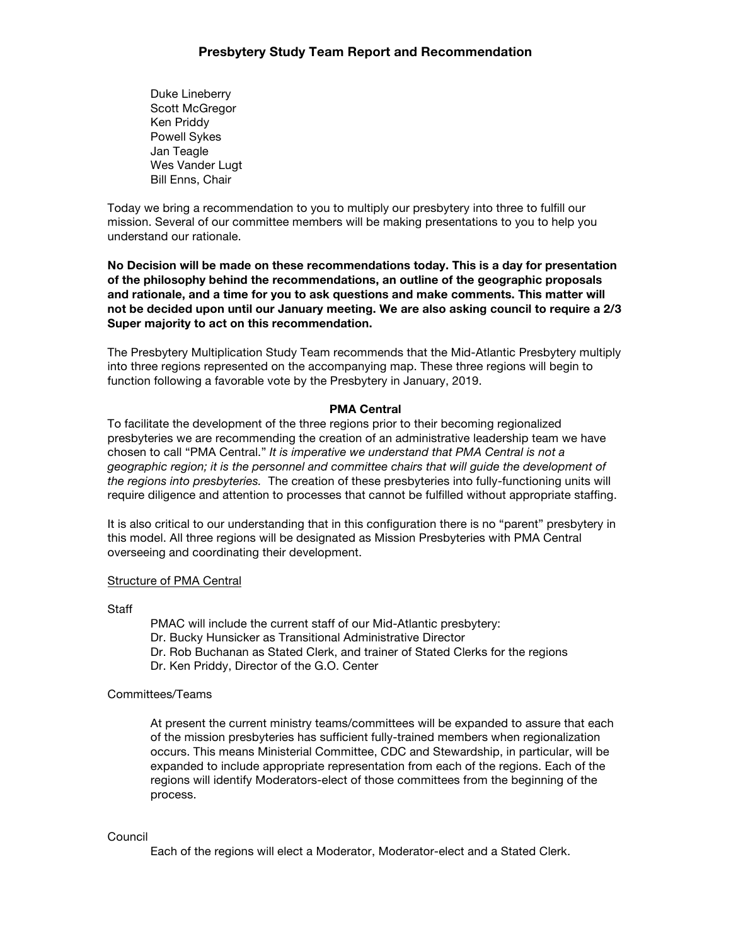Duke Lineberry Scott McGregor Ken Priddy Powell Sykes Jan Teagle Wes Vander Lugt Bill Enns, Chair

Today we bring a recommendation to you to multiply our presbytery into three to fulfill our mission. Several of our committee members will be making presentations to you to help you understand our rationale.

**No Decision will be made on these recommendations today. This is a day for presentation of the philosophy behind the recommendations, an outline of the geographic proposals and rationale, and a time for you to ask questions and make comments. This matter will not be decided upon until our January meeting. We are also asking council to require a 2/3 Super majority to act on this recommendation.**

The Presbytery Multiplication Study Team recommends that the Mid-Atlantic Presbytery multiply into three regions represented on the accompanying map. These three regions will begin to function following a favorable vote by the Presbytery in January, 2019.

### **PMA Central**

To facilitate the development of the three regions prior to their becoming regionalized presbyteries we are recommending the creation of an administrative leadership team we have chosen to call "PMA Central." *It is imperative we understand that PMA Central is not a geographic region; it is the personnel and committee chairs that will guide the development of the regions into presbyteries.* The creation of these presbyteries into fully-functioning units will require diligence and attention to processes that cannot be fulfilled without appropriate staffing.

It is also critical to our understanding that in this configuration there is no "parent" presbytery in this model. All three regions will be designated as Mission Presbyteries with PMA Central overseeing and coordinating their development.

### Structure of PMA Central

**Staff** 

PMAC will include the current staff of our Mid-Atlantic presbytery: Dr. Bucky Hunsicker as Transitional Administrative Director Dr. Rob Buchanan as Stated Clerk, and trainer of Stated Clerks for the regions Dr. Ken Priddy, Director of the G.O. Center

## Committees/Teams

At present the current ministry teams/committees will be expanded to assure that each of the mission presbyteries has sufficient fully-trained members when regionalization occurs. This means Ministerial Committee, CDC and Stewardship, in particular, will be expanded to include appropriate representation from each of the regions. Each of the regions will identify Moderators-elect of those committees from the beginning of the process.

### Council

Each of the regions will elect a Moderator, Moderator-elect and a Stated Clerk.